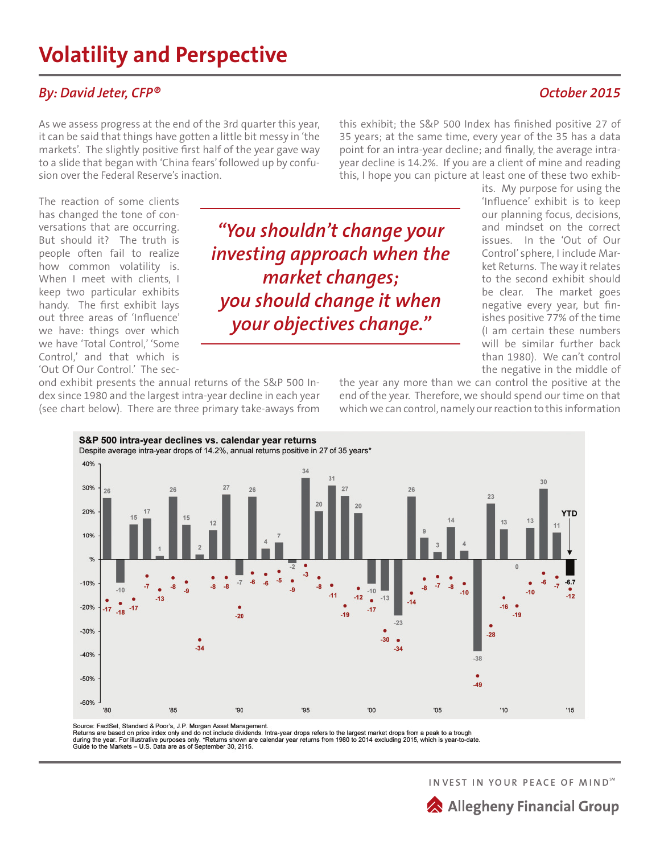## **By: David Jeter, CFP®**  $October 2015$

As we assess progress at the end of the 3rd quarter this year, it can be said that things have gotten a little bit messy in 'the markets'. The slightly positive first half of the year gave way to a slide that began with 'China fears' followed up by confusion over the Federal Reserve's inaction.

this exhibit; the S&P 500 Index has finished positive 27 of 35 years; at the same time, every year of the 35 has a data point for an intra-year decline; and finally, the average intrayear decline is 14.2%. If you are a client of mine and reading this, I hope you can picture at least one of these two exhib-

The reaction of some clients has changed the tone of conversations that are occurring. But should it? The truth is people often fail to realize how common volatility is. When I meet with clients, I keep two particular exhibits handy. The first exhibit lays out three areas of 'Influence' we have: things over which we have 'Total Control,' 'Some Control,' and that which is 'Out Of Our Control.' The sec-

40%

30%

20%

10%

 $Q_0$ 

 $-10%$ 

*"You shouldn't change your investing approach when the market changes; you should change it when your objectives change."* 

 $-10$ 

'00

 $-14$ 

 $-12$  $\bullet$  $-13$ 

 $-11$ 

its. My purpose for using the 'Influence' exhibit is to keep our planning focus, decisions, and mindset on the correct issues. In the 'Out of Our Control' sphere, I include Market Returns. The way it relates to the second exhibit should be clear. The market goes negative every year, but finishes positive 77% of the time (I am certain these numbers will be similar further back than 1980). We can't control the negative in the middle of

**YTD** 

 $-6.7$ 

 $\frac{1}{12}$ 

 $15$ 

 $10^{-1}$ 

 $-16$ 

 $10^{11}$ 

 $-28$ 

 $-38$ 

-49

 $'05$ 

 $-19$ 

ond exhibit presents the annual returns of the S&P 500 Index since 1980 and the largest intra-year decline in each year (see chart below). There are three primary take-aways from

S&P 500 intra-year declines vs. calendar year returns

Despite average intra-year drops of 14.2%, annual returns positive in 27 of 35 years\*

the year any more than we can control the positive at the end of the year. Therefore, we should spend our time on that which we can control, namely our reaction to this information

23

 $-10$ 

 $-20%$  $-17$  $-17$  $-17$  $-18$  $-19$  $-20$  $-23$  $-30%$  $-30$  $-34$  $34$  $-40%$  $-50%$  $-60%$ 

'90

'85

Source: FactSet, Standard & Poor's, J.P. Morgan Asset Management.<br>Returns are based on price index only and do not include dividends. Intra-year drops refers to the largest market drops from a peak to a trough<br>during the y

'95

-7

 $-13$ 

 $-10$ 

'80

**INVEST IN YOUR PEACE OF MINDSM**